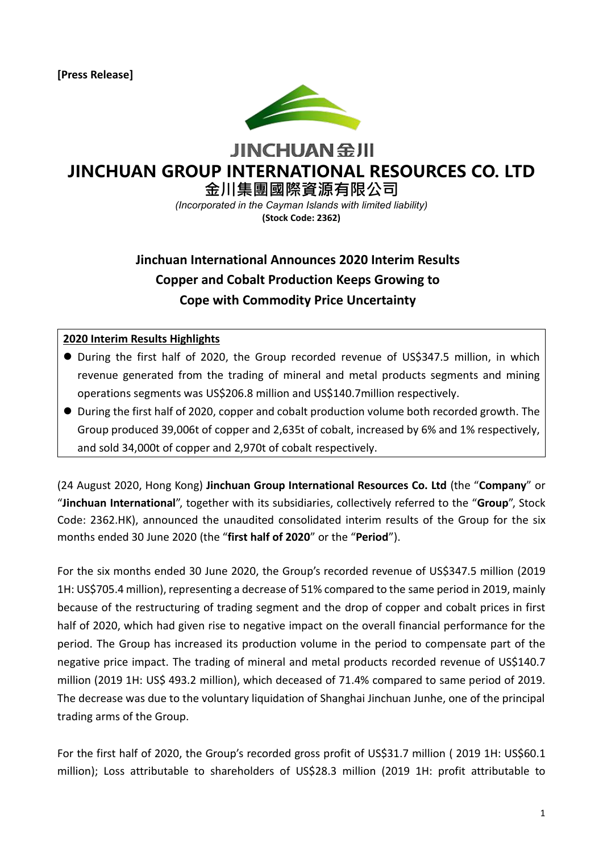

**JINCHUAN SHI** 

# **JINCHUAN GROUP INTERNATIONAL RESOURCES CO. LTD**

**金川集團國際資源有限公司** *(Incorporated in the Cayman Islands with limited liability)*

**(Stock Code: 2362)**

# **Jinchuan International Announces 2020 Interim Results Copper and Cobalt Production Keeps Growing to Cope with Commodity Price Uncertainty**

#### **2020 Interim Results Highlights**

- During the first half of 2020, the Group recorded revenue of US\$347.5 million, in which revenue generated from the trading of mineral and metal products segments and mining operations segments was US\$206.8 million and US\$140.7million respectively.
- ⚫ During the first half of 2020, copper and cobalt production volume both recorded growth. The Group produced 39,006t of copper and 2,635t of cobalt, increased by 6% and 1% respectively, and sold 34,000t of copper and 2,970t of cobalt respectively.

(24 August 2020, Hong Kong) **Jinchuan Group International Resources Co. Ltd** (the "**Company**" or "**Jinchuan International**", together with its subsidiaries, collectively referred to the "**Group**", Stock Code: 2362.HK), announced the unaudited consolidated interim results of the Group for the six months ended 30 June 2020 (the "**first half of 2020**" or the "**Period**").

For the six months ended 30 June 2020, the Group's recorded revenue of US\$347.5 million (2019 1H: US\$705.4 million), representing a decrease of 51% compared to the same period in 2019, mainly because of the restructuring of trading segment and the drop of copper and cobalt prices in first half of 2020, which had given rise to negative impact on the overall financial performance for the period. The Group has increased its production volume in the period to compensate part of the negative price impact. The trading of mineral and metal products recorded revenue of US\$140.7 million (2019 1H: US\$ 493.2 million), which deceased of 71.4% compared to same period of 2019. The decrease was due to the voluntary liquidation of Shanghai Jinchuan Junhe, one of the principal trading arms of the Group.

For the first half of 2020, the Group's recorded gross profit of US\$31.7 million (2019 1H: US\$60.1 million); Loss attributable to shareholders of US\$28.3 million (2019 1H: profit attributable to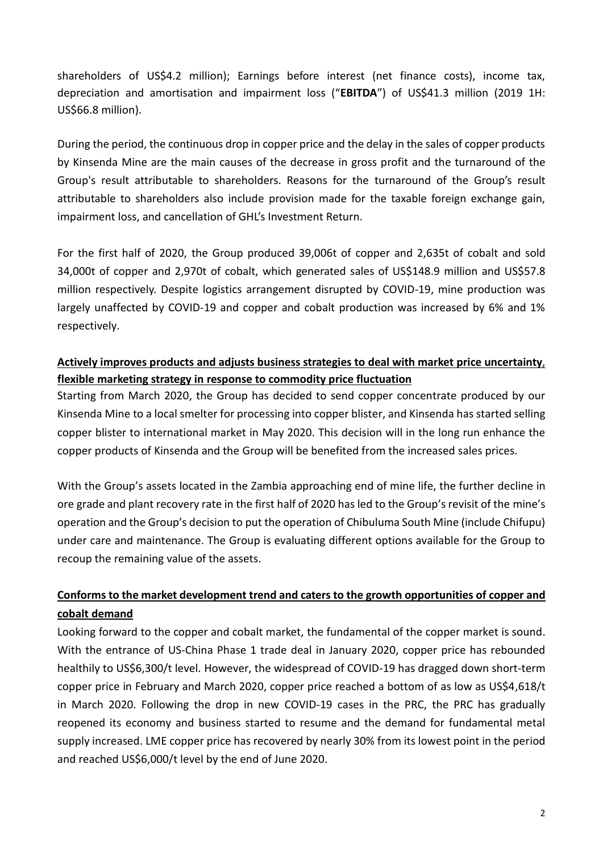shareholders of US\$4.2 million); Earnings before interest (net finance costs), income tax, depreciation and amortisation and impairment loss ("**EBITDA**") of US\$41.3 million (2019 1H: US\$66.8 million).

During the period, the continuous drop in copper price and the delay in the sales of copper products by Kinsenda Mine are the main causes of the decrease in gross profit and the turnaround of the Group's result attributable to shareholders. Reasons for the turnaround of the Group's result attributable to shareholders also include provision made for the taxable foreign exchange gain, impairment loss, and cancellation of GHL's Investment Return.

For the first half of 2020, the Group produced 39,006t of copper and 2,635t of cobalt and sold 34,000t of copper and 2,970t of cobalt, which generated sales of US\$148.9 million and US\$57.8 million respectively. Despite logistics arrangement disrupted by COVID-19, mine production was largely unaffected by COVID-19 and copper and cobalt production was increased by 6% and 1% respectively.

### **Actively improves products and adjusts business strategies to deal with market price uncertainty**, **flexible marketing strategy in response to commodity price fluctuation**

Starting from March 2020, the Group has decided to send copper concentrate produced by our Kinsenda Mine to a local smelter for processing into copper blister, and Kinsenda has started selling copper blister to international market in May 2020. This decision will in the long run enhance the copper products of Kinsenda and the Group will be benefited from the increased sales prices.

With the Group's assets located in the Zambia approaching end of mine life, the further decline in ore grade and plant recovery rate in the first half of 2020 has led to the Group's revisit of the mine's operation and the Group's decision to put the operation of Chibuluma South Mine (include Chifupu) under care and maintenance. The Group is evaluating different options available for the Group to recoup the remaining value of the assets.

## **Conforms to the market development trend and caters to the growth opportunities of copper and cobalt demand**

Looking forward to the copper and cobalt market, the fundamental of the copper market is sound. With the entrance of US-China Phase 1 trade deal in January 2020, copper price has rebounded healthily to US\$6,300/t level. However, the widespread of COVID-19 has dragged down short-term copper price in February and March 2020, copper price reached a bottom of as low as US\$4,618/t in March 2020. Following the drop in new COVID-19 cases in the PRC, the PRC has gradually reopened its economy and business started to resume and the demand for fundamental metal supply increased. LME copper price has recovered by nearly 30% from its lowest point in the period and reached US\$6,000/t level by the end of June 2020.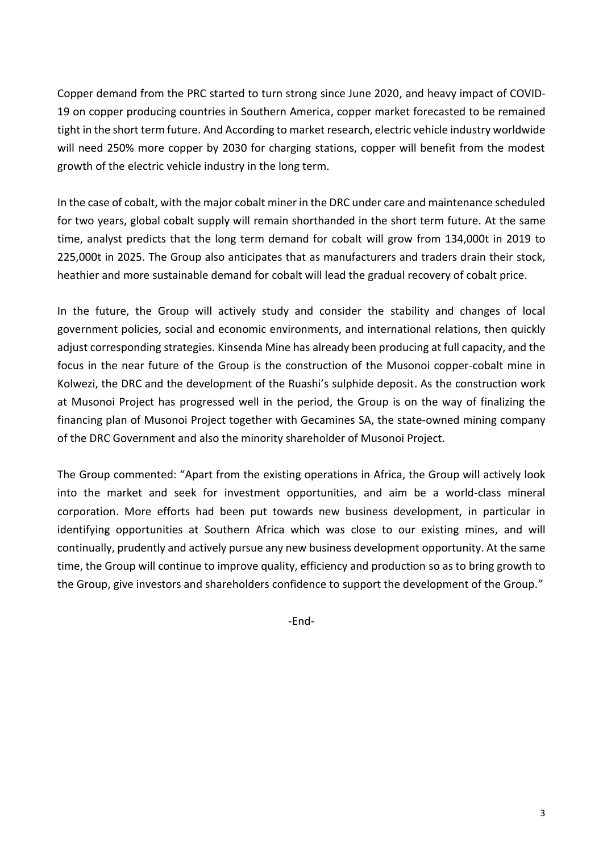Copper demand from the PRC started to turn strong since June 2020, and heavy impact of COVID-19 on copper producing countries in Southern America, copper market forecasted to be remained tight in the short term future. And According to market research, electric vehicle industry worldwide will need 250% more copper by 2030 for charging stations, copper will benefit from the modest growth of the electric vehicle industry in the long term.

In the case of cobalt, with the major cobalt miner in the DRC under care and maintenance scheduled for two years, global cobalt supply will remain shorthanded in the short term future. At the same time, analyst predicts that the long term demand for cobalt will grow from 134,000t in 2019 to 225,000t in 2025. The Group also anticipates that as manufacturers and traders drain their stock, heathier and more sustainable demand for cobalt will lead the gradual recovery of cobalt price.

In the future, the Group will actively study and consider the stability and changes of local government policies, social and economic environments, and international relations, then quickly adjust corresponding strategies. Kinsenda Mine has already been producing at full capacity, and the focus in the near future of the Group is the construction of the Musonoi copper-cobalt mine in Kolwezi, the DRC and the development of the Ruashi's sulphide deposit. As the construction work at Musonoi Project has progressed well in the period, the Group is on the way of finalizing the financing plan of Musonoi Project together with Gecamines SA, the state-owned mining company of the DRC Government and also the minority shareholder of Musonoi Project.

The Group commented: "Apart from the existing operations in Africa, the Group will actively look into the market and seek for investment opportunities, and aim be a world-class mineral corporation. More efforts had been put towards new business development, in particular in identifying opportunities at Southern Africa which was close to our existing mines, and will continually, prudently and actively pursue any new business development opportunity. At the same time, the Group will continue to improve quality, efficiency and production so as to bring growth to the Group, give investors and shareholders confidence to support the development of the Group."

-End-